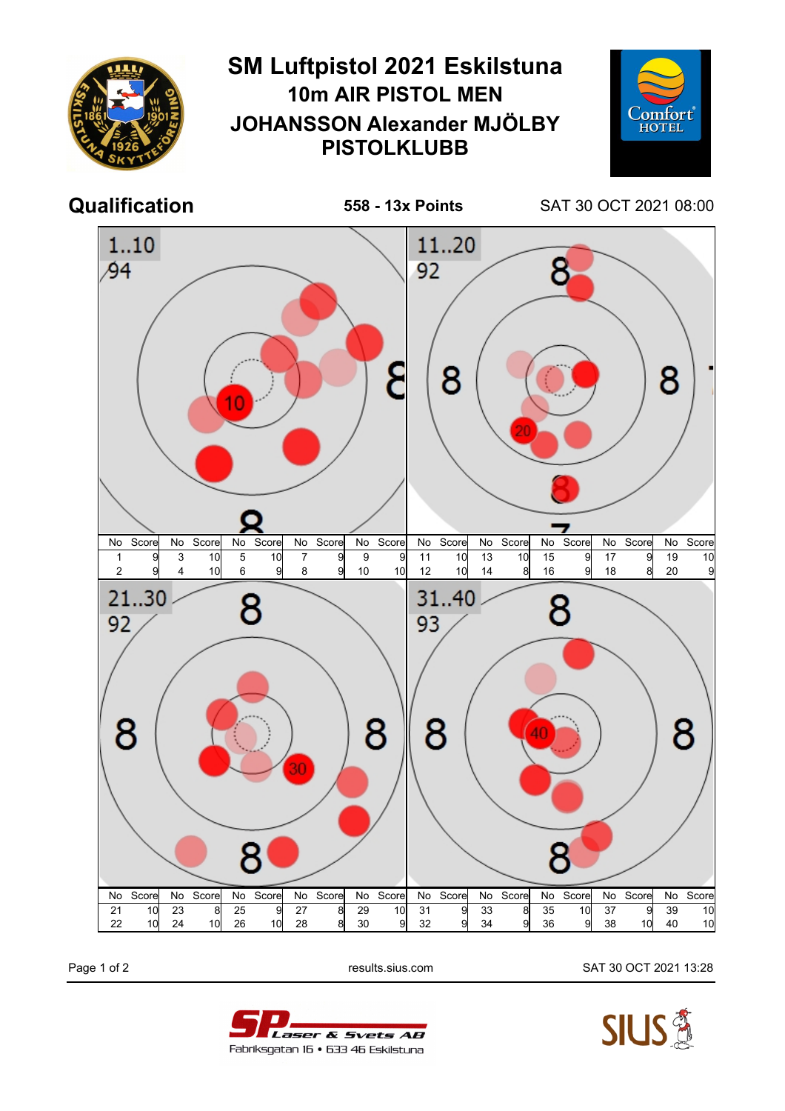

Page 1 of 2 results.sius.com SAT 30 OCT 2021 13:28



Laser & Svets AB Fabriksgatan 16 • 633 46 Eskilstuna